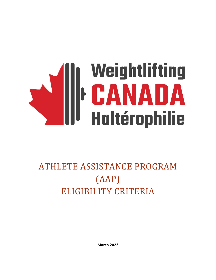# **Allette School (1996)**<br>Allette CANADA<br>Haltérophilie

# ATHLETE ASSISTANCE PROGRAM (AAP) ELIGIBILITY CRITERIA

**March 2022**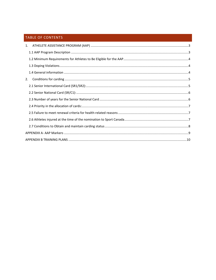# TABLE OF CONTENTS

| 1. |  |
|----|--|
|    |  |
|    |  |
|    |  |
|    |  |
| 2. |  |
|    |  |
|    |  |
|    |  |
|    |  |
|    |  |
|    |  |
|    |  |
|    |  |
|    |  |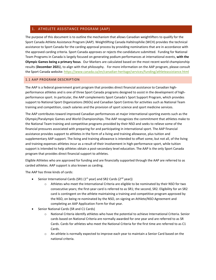# <span id="page-2-0"></span>1. ATHELETE ASSISTANCE PROGRAM (AAP)

The purpose of this document is to outline the mechanism that allows Canadian weightlifters to qualify for the Sport Canada Athlete Assistance Program (AAP). Weightlifting Canada Haltérophilie (WCH) provides the technical assistance to Sport Canada for the carding approval process by providing nominations that are in accordance with the approved carding criteria. Sport Canada approves or rejects the candidature submitted. Funding for National Team Programs in Canada is largely focused on generating podium performances at international events, **with the Olympic Games being a primary focus**. Our Markers are calculated based on the most recent world championship results (**December 2021**), to align with that philosophy. For more information on the AAP program, please consult the Sport Canada website[: https://www.canada.ca/en/canadian-heritage/services/funding/athleteassistance.html](https://www.canada.ca/en/canadian-heritage/services/funding/athleteassistance.html)

#### <span id="page-2-1"></span>1.1 AAP PROGRAM DESCRIPTION

The AAP is a federal government grant program that provides direct financial assistance to Canadian highperformance athletes and is one of three Sport Canada programs designed to assist in the development of highperformance sport. In particular, the AAP complements Sport Canada's Sport Support Program, which provides support to National Sport Organizations (NSOs) and Canadian Sport Centres for activities such as National Team training and competition, coach salaries and the provision of sport science and sport medicine services.

The AAP contributes toward improved Canadian performances at major international sporting events such as the Olympic/Paralympic Games and World Championships. The AAP recognizes the commitment that athletes make to the National Team training and competitive programs provided by their NSO and seeks to relieve some of the financial pressures associated with preparing for and participating in international sport. The AAP financial assistance provides support to athletes in the form of a living and training allowance, plus tuition and supplementary AAP support. The living and training allowance is intended to offset some, but not all, of the living and training expenses athletes incur as a result of their involvement in high-performance sport, while tuition support is intended to help athletes obtain a post-secondary level education. The AAP is the only Sport Canada program that provides direct financial support to athletes.

Eligible Athletes who are approved for funding and are financially supported through the AAP are referred to as carded athletes. AAP support is also known as carding.

The AAP has three kinds of cards:

- Senior International Cards (SR1 ( $1<sup>st</sup>$  year) and SR2 Cards ( $2<sup>nd</sup>$  year))
	- o Athletes who meet the International Criteria are eligible to be nominated by their NSO for two consecutive years; the first-year card is referred to as SR1; the second, SR2. Eligibility for an SR2 card is contingent on the athlete maintaining a training and competitive program approved by the NSO, on being re-nominated by the NSO, on signing an Athlete/NSO Agreement and completing an AAP Application Form for that year.
- Senior National Cards (SR and C1 Cards)
	- o National Criteria identify athletes who have the potential to achieve International Criteria. Senior cards based on National Criteria are normally awarded for one year and are referred to as SR Cards. Cards for athletes who meet the National Criteria for the first time are referred to as C1 Cards.
	- $\circ$  An athlete is normally expected to improve each year to maintain a Senior Card based on the national criteria.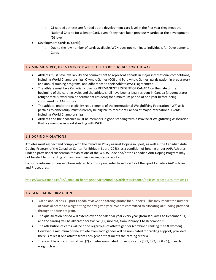- $\circ$  C1 carded athletes are funded at the development card level in the first year they meet the National Criteria for a Senior Card, even if they have been previously carded at the development (D) level
- Development Cards (D Cards)
	- o Due to the low number of cards available, WCH does not nominate individuals for Developmental Cards.

#### <span id="page-3-0"></span>1.2 MINIMUM REQUIREMENTS FOR ATHLETES TO BE ELIGIBLE FOR THE AAP

- Athletes must have availability and commitment to represent Canada in major international competitions, including World Championships, Olympic Games (OG) and Paralympic Games; participation in preparatory and annual training programs; and adherence to their Athletes/WCH agreement.
- The athlete must be a Canadian citizen or PERMANENT RESIDENT OF CANADA on the date of the beginning of the carding cycle, and the athlete shall have been a legal resident in Canada (student status, refugee status, work visa or permanent resident) for a minimum period of one year before being considered for AAP support.
- The athlete, under the eligibility requirements of the International Weightlifting Federation (IWF) as it pertains to citizenship, must currently be eligible to represent Canada at major international events, including World Championships.
- Athletes and their coaches must be members in good standing with a Provincial Weightlifting Association that is a member in good standing with WCH.

## <span id="page-3-1"></span>1.3 DOPING VIOLATIONS

Athletes must respect and comply with the Canadian Policy against Doping in Sport, as well as the Canadian Anti-Doping Program of the Canadian Center for Ethics in Sport (CCES), as a condition of funding under AAP. Athletes under a provisional suspension for violations of the WADA Code and/or the Canadian Anti-Doping Program may not be eligible for carding or may have their carding status revoked.

For more information on sanctions related to anti-doping, refer to section 12 of the Sport Canada's AAP Policies and Procedures:

#### <https://www.canada.ca/en/Canadian-heritage/services/funding/athleteassistance/policies-procedures.htm1#a13>

#### <span id="page-3-2"></span>1.4 GENERAL INFORMATION

- On an annual basis, Sport Canada reviews the carding quotas for all sports. This may impact the number of cards allocated to weightlifting for any given year. We are committed to allocating all funding provided through the AAP program.
- The qualification period will extend over one calendar year every year (from January 1 to December 31) and the carding will be allocated for twelve (12) months, from January 1 to December 31.
- The attribution of cards will be done regardless of athlete gender (combined ranking men & women). However, a minimum of one athlete from each gender will be nominated for carding support, provided there is at least one athlete from each gender that meets the carding criteria.
- There will be a maximum of two (2) athletes nominated for senior cards (SR1, SR2, SR & C1), in each weight class.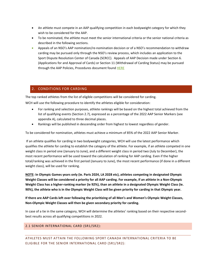- An athlete must compete in an AAP qualifying competition in each bodyweight category for which they wish to be considered for the AAP.
- To be nominated, the athlete must meet the senior international criteria or the senior national criteria as described in the following sections.
- Appeals of an NSO's AAP nomination/re-nomination decision or of a NSO's recommendation to withdraw carding may be pursued only through the NSO's review process, which includes an application to the Sport Dispute Resolution Center of Canada (SCRCC). Appeals of AAP Decision made under Section 6. (Applications for and Approval of Cards) or Section 11 (Withdrawal of Carding Status) may be pursued through the AAP Policies, Procedures document found [HERE](https://www.canada.ca/en/canadian-heritage/services/funding/athlete-assistance/policies-procedures.html)

# <span id="page-4-0"></span>2. CONDITIONS FOR CARDING

The top ranked athletes from the list of eligible competitions will be considered for carding.

WCH will use the following procedure to identify the athletes eligible for consideration:

- For ranking and selection purposes, athlete rankings will be based on the highest total achieved from the list of qualifying events (Section 2.7), expressed as a percentage of the 2022 AAP Senior Markers (see appendix A), calculated to three decimal places.
- Rankings will be published in descending order from highest to lowest regardless of gender.

To be considered for nomination, athletes must achieve a minimum of 85% of the 2022 AAP Senior Marker.

If an athlete qualifies for carding in two bodyweight categories, WCH will use the latest performance which qualifies the athlete for carding to establish the category of the athlete. For example, if an athlete competed in one weight class in period one (January to June), and a different weight class in period two (July to December), the most recent performance will be used toward the calculation of ranking for AAP carding. Even if the higher total/ranking was achieved in the first period (January to June), the most recent performance (if done in a different weight class), will be used for ranking.

**NOTE: In Olympic Games years only (ie. Paris 2024, LA 2028 etc), athletes competing in designated Olympic Weight Classes will be considered a priority for all AAP carding. For example, if an athlete in a Non-Olympic Weight Class has a higher-ranking marker (ie 92%), than an athlete in a designated Olympic Weight Class (ie. 90%), the athlete who is in the Olympic Weight Class will be given priority for carding in that Olympic year.** 

**If there are AAP Cards left over following the prioritizing of all Men's and Women's Olympic Weight Classes, Non-Olympic Weight Classes will then be given secondary priority for carding.**

In case of a tie in the same category, WCH will determine the athletes' ranking based on their respective secondbest results across all qualifying competitions in 2022.

# <span id="page-4-1"></span>2.1 SENIOR INTERNATIONAL CARD (SR1/SR2):

ATHLETES MUST ATTAIN THE FOLLOWING SPORT CANADA INTERNATIONAL CRITERIA TO BE ELIGIBLE FOR THE SENIOR INTERNATIONAL CARD (SR1/SR2):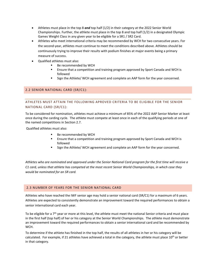- Athletes must place in the top 8 *and* top half (1/2) in their category at the 2022 Senior World Championships. Further, the athlete must place in the top 8 and top half (1/2) in a designated Olympic Games Weight Class in any given year to be eligible for a SR1 / SR2 Card.
- Athletes who meet international criteria may be recommended by WCH for two consecutive years. For the second-year, athletes must continue to meet the conditions described above. Athletes should be continuously trying to improve their results with podium finishes at major events being a primary measure of success.
- Qualified athletes must also:
	- Be recommended by WCH
	- Ensure that a competition and training program approved by Sport Canada and WCH is followed
	- Sign the Athlete/ WCH agreement and complete an AAP form for the year concerned.

# <span id="page-5-0"></span>2.2 SENIOR NATIONAL CARD (SR/C1):

# ATHLETES MUST ATTAIN THE FOLLOWING APROVED CRITERIA TO BE ELIGIBLE FOR THE SENIOR NATIONAL CARD (SR/C1):

To be considered for nomination, athletes must achieve a minimum of 85% of the 2022 AAP Senior Marker at least once during the carding cycle. The athlete must compete at least once in each of the qualifying periods at one of the named competitions in Section 2.7.

Qualified athletes must also:

- Be recommended by WCH
- Ensure that a competition and training program approved by Sport Canada and WCH is followed
- Sign the Athlete/ WCH agreement and complete an AAP form for the year concerned.

*Athletes who are nominated and approved under the Senior National Card program for the first time will receive a C1 card, unless that athlete has competed at the most recent Senior World Championships, in which case they would be nominated for an SR card.*

# <span id="page-5-1"></span>2.3 NUMBER OF YEARS FOR THE SENIOR NATIONAL CARD

Athletes who have reached the IWF senior age may hold a senior national card (SR/C1) for a maximum of 6 years. Athletes are expected to consistently demonstrate an improvement toward the required performances to obtain a senior international card each year.

To be eligible for a 7<sup>th</sup> year or more at this level, the athlete must meet the national Senior criteria and must place in the first half (top half) of her or his category at the Senior World Championships. The athlete must demonstrate an improvement toward the required performances to obtain a senior international card and be recommended by WCH.

To determine if the athlete has finished in the top half, the results of all athletes in her or his category will be calculated. For example, if 21 athletes have achieved a total in the category, the athlete must place 10<sup>th</sup> or better in that category.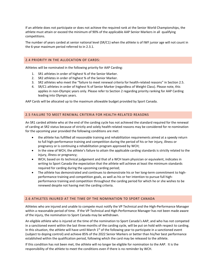If an athlete does not participate or does not achieve the required rank at the Senior World Championships, the athlete must attain or exceed the minimum of 90% of the applicable AAP Senior Markers in all qualifying competitions.

The number of years carded at senior national level (SR/C1) when the athlete is of IWF junior age will not count in the 6-year maximum period referred to in 2.3.1.

#### <span id="page-6-0"></span>2.4 PRIORITY IN THE ALLOCATION OF CARDS:

Athletes will be nominated in the following priority for AAP Carding:

- 1. SR1 athletes in order of highest % of the Senior Marker.
- 2. SR2 athletes in order of highest % of the Senior Marker.
- 3. SR2 athletes who meet the "failure to meet renewal criteria for health-related reasons" in Section 2.5.
- 4. SR/C1 athletes in order of highest % of Senior Marker (regardless of Weight Class). Please note, this applies in non-Olympic years only. Please refer to Section 2 regarding priority ranking for AAP Carding leading into Olympic years.

AAP Cards will be allocated up to the maximum allowable budget provided by Sport Canada.

# <span id="page-6-1"></span>2.5 FAILURE TO MEET RENEWAL CRITERIA FOR HEALTH-RELATED REASONS

An SR1 carded athlete who at the end of the carding cycle has not achieved the standard required for the renewal of carding at SR2 status because of strictly and solely health-related reasons may be considered for re-nomination for the upcoming year provided the following conditions are met:

- the athlete has fulfilled all reasonable training and rehabilitation requirements aimed at a speedy return to full high-performance training and competition during the period of his or her injury, illness or pregnancy or is continuing a rehabilitation program approved by WCH;
- In the view of WCH, the athlete's failure to attain the applicable carding standards is strictly related to the injury, illness or pregnancy;
- WCH, based on its technical judgement and that of a WCH team physician or equivalent, indicates in writing to Sport Canada the expectation that the athlete will achieve at least the minimum standards required for carding during the upcoming carding period;
- The athlete has demonstrated and continues to demonstrate his or her long-term commitment to highperformance training and competition goals, as well as his or her intention to pursue full highperformance training and competition throughout the carding period for which he or she wishes to be renewed despite not having met the carding criteria.

# <span id="page-6-2"></span>2.6 ATHLETES INJURED AT THE TIME OF THE NOMINATION TO SPORT CANADA

Athletes who are injured and unable to compete must notify the VP Technical and the High-Performance Manager within a reasonable period of time. If the VP Technical and High-Performance Manager has not been made aware of the injury, the nomination to Sport Canada may be withdrawn.

An eligible athlete who is injured at the time of the nomination to Sport Canada's AAP, and who has not competed in a sanctioned event within the last three months of the carding cycle, will be put on hold with respect to carding. In this situation, the athlete will have until March  $1<sup>st</sup>$  of the following year to participate in a sanctioned event (subject to doping control) and achieve 85% of the 2022 Senior Markers or better than his/her best performance established within the qualification period, following which the card may be released to the athlete.

If this condition has not been met, the athlete will no longer be eligible for nomination to the AAP. It is the responsibility of the athlete to meet the conditions even if there is no reminder by WCH.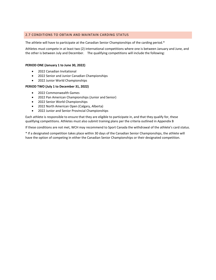# <span id="page-7-0"></span>2.7 CONDITIONS TO OBTAIN AND MAINTAIN CARDING STATUS

The athlete will have to participate at the Canadian Senior Championships of the carding period.\*

Athletes must compete in at least two (2) international competitions where one is between January and June, and the other is between July and December. The qualifying competitions will include the following:

#### **PERIOD ONE (January 1 to June 30, 2022)**

- 2022 Canadian Invitational
- 2022 Senior and Junior Canadian Championships
- 2022 Junior World Championships

#### **PERIOD TWO (July 1 to December 31, 2022)**

- 2022 Commonwealth Games
- 2022 Pan American Championships (Junior and Senior)
- 2022 Senior World Championships
- 2022 North American Open (Calgary, Alberta)
- 2022 Junior and Senior Provincial Championships

Each athlete is responsible to ensure that they are eligible to participate in, and that they qualify for, these qualifying competitions. Athletes must also submit training plans per the criteria outlined in Appendix B

If these conditions are not met, WCH may recommend to Sport Canada the withdrawal of the athlete's card status.

\* If a designated competition takes place within 30 days of the Canadian Senior Championships, the athlete will have the option of competing in either the Canadian Senior Championships or their designated competition.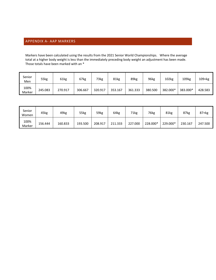# <span id="page-8-0"></span>APPENDIX A- AAP MARKERS

Markers have been calculated using the results from the 2021 Senior World Championships. Where the average total at a higher body weight is less than the immediately preceding body weight an adjustment has been made. Those totals have been marked with an \*

| Senior<br>Men  | 55kg    | 61kg    | 67kg    | 73kg    | 81kg    | 89kg    | 96kg    | 102kg    | 109kg    | 109+kg  |
|----------------|---------|---------|---------|---------|---------|---------|---------|----------|----------|---------|
| 100%<br>Marker | 245.083 | 270.917 | 306.667 | 320.917 | 353.167 | 361.333 | 380.500 | 382.000* | 383.000* | 428.583 |

| Senior<br>Women | 45kg    | 49kg    | 55kg    | 59kg    | 64kg    | 71kg    | 76kg     | 81kg     | 87kg    | $87 + kg$ |
|-----------------|---------|---------|---------|---------|---------|---------|----------|----------|---------|-----------|
| 100%<br>Marker  | 156.444 | 160.833 | 193.500 | 208.917 | 211.333 | 227.000 | 228.000* | 229.000* | 230.167 | 247.500   |